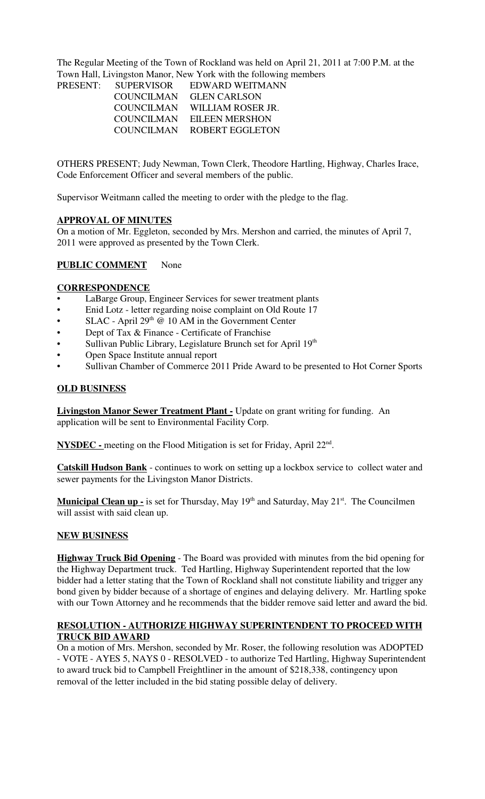The Regular Meeting of the Town of Rockland was held on April 21, 2011 at 7:00 P.M. at the Town Hall, Livingston Manor, New York with the following members

| PRESENT: | <b>SUPERVISOR</b> | EDWARD WEITMANN   |
|----------|-------------------|-------------------|
|          | COUNCILMAN        | GLEN CARLSON      |
|          | <b>COUNCILMAN</b> | WILLIAM ROSER JR. |
|          | COUNCILMAN        | EILEEN MERSHON    |
|          | COUNCILMAN        | ROBERT EGGLETON   |
|          |                   |                   |

OTHERS PRESENT; Judy Newman, Town Clerk, Theodore Hartling, Highway, Charles Irace, Code Enforcement Officer and several members of the public.

Supervisor Weitmann called the meeting to order with the pledge to the flag.

#### **APPROVAL OF MINUTES**

On a motion of Mr. Eggleton, seconded by Mrs. Mershon and carried, the minutes of April 7, 2011 were approved as presented by the Town Clerk.

# **PUBLIC COMMENT** None

#### **CORRESPONDENCE**

- LaBarge Group, Engineer Services for sewer treatment plants
- Enid Lotz letter regarding noise complaint on Old Route 17
- SLAC April  $29<sup>th</sup>$  @ 10 AM in the Government Center
- Dept of Tax & Finance Certificate of Franchise
- Sullivan Public Library, Legislature Brunch set for April 19th
- Open Space Institute annual report
- Sullivan Chamber of Commerce 2011 Pride Award to be presented to Hot Corner Sports

# **OLD BUSINESS**

**Livingston Manor Sewer Treatment Plant -** Update on grant writing for funding. An application will be sent to Environmental Facility Corp.

NYSDEC - meeting on the Flood Mitigation is set for Friday, April 22<sup>nd</sup>.

**Catskill Hudson Bank** - continues to work on setting up a lockbox service to collect water and sewer payments for the Livingston Manor Districts.

**Municipal Clean up -** is set for Thursday, May 19<sup>th</sup> and Saturday, May 21<sup>st</sup>. The Councilmen will assist with said clean up.

#### **NEW BUSINESS**

**Highway Truck Bid Opening** - The Board was provided with minutes from the bid opening for the Highway Department truck. Ted Hartling, Highway Superintendent reported that the low bidder had a letter stating that the Town of Rockland shall not constitute liability and trigger any bond given by bidder because of a shortage of engines and delaying delivery. Mr. Hartling spoke with our Town Attorney and he recommends that the bidder remove said letter and award the bid.

# **RESOLUTION - AUTHORIZE HIGHWAY SUPERINTENDENT TO PROCEED WITH TRUCK BID AWARD**

On a motion of Mrs. Mershon, seconded by Mr. Roser, the following resolution was ADOPTED - VOTE - AYES 5, NAYS 0 - RESOLVED - to authorize Ted Hartling, Highway Superintendent to award truck bid to Campbell Freightliner in the amount of \$218,338, contingency upon removal of the letter included in the bid stating possible delay of delivery.